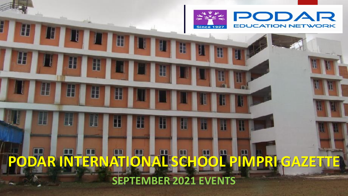

## **PODAR INTERNATIONAL SCHOOL PIMPRI GAZETTE SEPTEMBER 2021 EVENTS**

H

由

٣.

H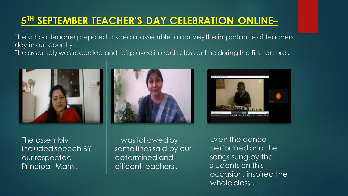#### **5 TH SEPTEMBER TEACHER'S DAY CELEBRATION ONLINE–**

The school teacher prepared a special assemble to convey the importance of teachers day in our country . The assembly was recorded and displayed in each class online during the first lecture .



The assembly included speech BY our respected Principal Mam .





It was followed by some lines said by our determined and diligent teachers .

Even the dance performed and the songs sung by the students on this occasion, inspired the whole class.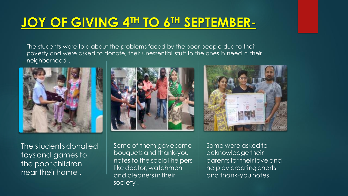### **JOY OF GIVING 4TH TO 6TH SEPTEMBER-**

The students were told about the problems faced by the poor people due to their poverty and were asked to donate, their unessential stuff to the ones in need in their neighborhood .



The students donated toys and games to the poor children near their home .

Some of them gave some bouquets and thank-you notes to the social helpers like doctor, watchmen and cleaners in their society .



Some were asked to acknowledge their parents for their love and help by creating charts and thank-you notes .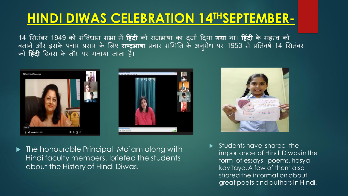### **HINDI DIWAS CELEBRATION 14THSEPTEMBER-**

14 सितंबर 1949 को संविधान सभा में **हिंदी** को राजभाषा का दर्जा दिया **गया** था। **हिंदी** के महत्व को बताने और इसके प्रचार प्रसार के लिए राष्ट्रभाषा प्रचार समिति के अनुरोध पर 1953 से प्रतिवर्ष 14 सितंबर को **हिंदी** दिवस के तौर पर मनाया जाता है।







▶ The honourable Principal Ma'am along with Hindi faculty members , briefed the students about the History of Hindi Diwas.

 $\blacktriangleright$  Students have shared the importance of Hindi Diwas in the form of essays , poems, hasya kavitaye. A few of them also shared the information about great poets and authors in Hindi.